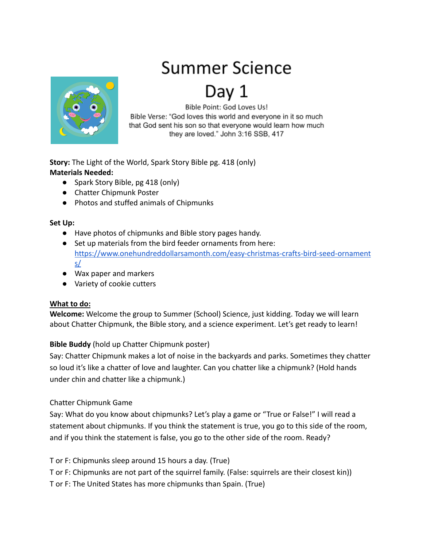# Summer Science



Bible Point: God Loves Us! Bible Verse: "God loves this world and everyone in it so much that God sent his son so that everyone would learn how much they are loved." John 3:16 SSB, 417

**Story:** The Light of the World, Spark Story Bible pg. 418 (only) **Materials Needed:**

- Spark Story Bible, pg 418 (only)
- Chatter Chipmunk Poster
- Photos and stuffed animals of Chipmunks

### **Set Up:**

- Have photos of chipmunks and Bible story pages handy.
- Set up materials from the bird feeder ornaments from here: [https://www.onehundreddollarsamonth.com/easy-christmas-crafts-bird-seed-ornament](https://www.onehundreddollarsamonth.com/easy-christmas-crafts-bird-seed-ornaments/) [s/](https://www.onehundreddollarsamonth.com/easy-christmas-crafts-bird-seed-ornaments/)
- Wax paper and markers
- Variety of cookie cutters

# **What to do:**

**Welcome:** Welcome the group to Summer (School) Science, just kidding. Today we will learn about Chatter Chipmunk, the Bible story, and a science experiment. Let's get ready to learn!

# **Bible Buddy** (hold up Chatter Chipmunk poster)

Say: Chatter Chipmunk makes a lot of noise in the backyards and parks. Sometimes they chatter so loud it's like a chatter of love and laughter. Can you chatter like a chipmunk? (Hold hands under chin and chatter like a chipmunk.)

# Chatter Chipmunk Game

Say: What do you know about chipmunks? Let's play a game or "True or False!" I will read a statement about chipmunks. If you think the statement is true, you go to this side of the room, and if you think the statement is false, you go to the other side of the room. Ready?

T or F: Chipmunks sleep around 15 hours a day. (True)

T or F: Chipmunks are not part of the squirrel family. (False: squirrels are their closest kin))

T or F: The United States has more chipmunks than Spain. (True)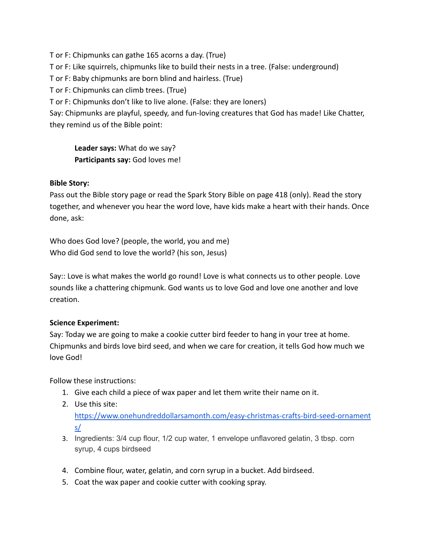T or F: Chipmunks can gathe 165 acorns a day. (True) T or F: Like squirrels, chipmunks like to build their nests in a tree. (False: underground) T or F: Baby chipmunks are born blind and hairless. (True) T or F: Chipmunks can climb trees. (True) T or F: Chipmunks don't like to live alone. (False: they are loners) Say: Chipmunks are playful, speedy, and fun-loving creatures that God has made! Like Chatter, they remind us of the Bible point:

**Leader says:** What do we say? **Participants say:** God loves me!

#### **Bible Story:**

Pass out the Bible story page or read the Spark Story Bible on page 418 (only). Read the story together, and whenever you hear the word love, have kids make a heart with their hands. Once done, ask:

Who does God love? (people, the world, you and me) Who did God send to love the world? (his son, Jesus)

Say:: Love is what makes the world go round! Love is what connects us to other people. Love sounds like a chattering chipmunk. God wants us to love God and love one another and love creation.

#### **Science Experiment:**

Say: Today we are going to make a cookie cutter bird feeder to hang in your tree at home. Chipmunks and birds love bird seed, and when we care for creation, it tells God how much we love God!

Follow these instructions:

- 1. Give each child a piece of wax paper and let them write their name on it.
- 2. Use this site:

[https://www.onehundreddollarsamonth.com/easy-christmas-crafts-bird-seed-ornament](https://www.onehundreddollarsamonth.com/easy-christmas-crafts-bird-seed-ornaments/) [s/](https://www.onehundreddollarsamonth.com/easy-christmas-crafts-bird-seed-ornaments/)

- 3. Ingredients: 3/4 cup flour, 1/2 cup water, 1 envelope unflavored gelatin, 3 tbsp. corn syrup, 4 cups birdseed
- 4. Combine flour, water, gelatin, and corn syrup in a bucket. Add birdseed.
- 5. Coat the wax paper and cookie cutter with cooking spray.